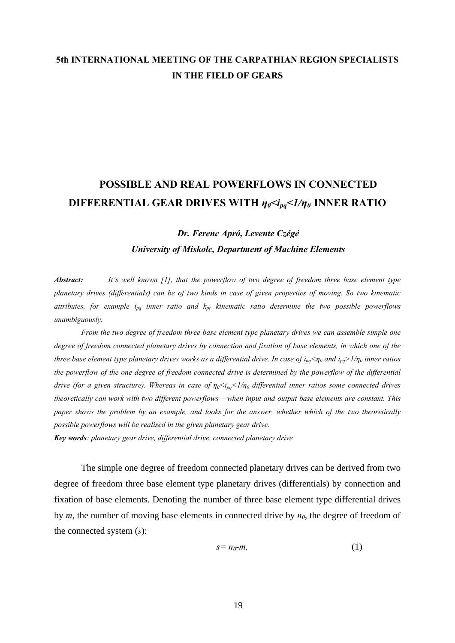## **5th INTERNATIONAL MEETING OF THE CARPATHIAN REGION SPECIALISTS IN THE FIELD OF GEARS**

## **POSSIBLE AND REAL POWERFLOWS IN CONNECTED DIFFERENTIAL GEAR DRIVES WITH** *η0<ipq<1/η0* **INNER RATIO**

*Dr. Ferenc Apró, Levente Czégé* 

*University of Miskolc, Department of Machine Elements* 

*Abstract: It's well known [1], that the powerflow of two degree of freedom three base element type planetary drives (differentials) can be of two kinds in case of given properties of moving. So two kinematic*  attributes, for example i<sub>pa</sub> inner ratio and  $k_{pr}$  kinematic ratio determine the two possible powerflows *unambiguously.* 

 *From the two degree of freedom three base element type planetary drives we can assemble simple one degree of freedom connected planetary drives by connection and fixation of base elements, in which one of the three base element type planetary drives works as a differential drive. In case of ipq<η0 and ipq>1/η0 inner ratios the powerflow of the one degree of freedom connected drive is determined by the powerflow of the differential drive (for a given structure). Whereas in case of*  $\eta_0 \leq l_{nq} \leq l/\eta_0$  *differential inner ratios some connected drives theoretically can work with two different powerflows – when input and output base elements are constant. This paper shows the problem by an example, and looks for the answer, whether which of the two theoretically possible powerflows will be realised in the given planetary gear drive.* 

*Key words: planetary gear drive, differential drive, connected planetary drive* 

 The simple one degree of freedom connected planetary drives can be derived from two degree of freedom three base element type planetary drives (differentials) by connection and fixation of base elements. Denoting the number of three base element type differential drives by  $m$ , the number of moving base elements in connected drive by  $n_0$ , the degree of freedom of the connected system (*s*):

$$
s=n_0-m,\tag{1}
$$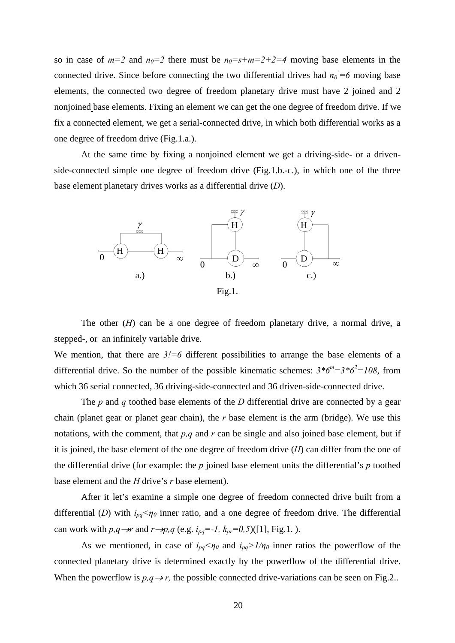so in case of  $m=2$  and  $n_0=2$  there must be  $n_0=s+m=2+2=4$  moving base elements in the connected drive. Since before connecting the two differential drives had  $n_0 = 6$  moving base elements, the connected two degree of freedom planetary drive must have 2 joined and 2 nonjoined base elements. Fixing an element we can get the one degree of freedom drive. If we fix a connected element, we get a serial-connected drive, in which both differential works as a one degree of freedom drive (Fig.1.a.).

At the same time by fixing a nonjoined element we get a driving-side- or a drivenside-connected simple one degree of freedom drive (Fig.1.b.-c.), in which one of the three base element planetary drives works as a differential drive (*D*).



The other  $(H)$  can be a one degree of freedom planetary drive, a normal drive, a stepped-, or an infinitely variable drive.

We mention, that there are  $3! = 6$  different possibilities to arrange the base elements of a differential drive. So the number of the possible kinematic schemes:  $3 * 6^m = 3 * 6^2 = 108$ , from which 36 serial connected, 36 driving-side-connected and 36 driven-side-connected drive.

The *p* and *q* toothed base elements of the *D* differential drive are connected by a gear chain (planet gear or planet gear chain), the *r* base element is the arm (bridge). We use this notations, with the comment, that *p,q* and *r* can be single and also joined base element, but if it is joined, the base element of the one degree of freedom drive (*H*) can differ from the one of the differential drive (for example: the *p* joined base element units the differential's *p* toothed base element and the *H* drive's *r* base element).

After it let's examine a simple one degree of freedom connected drive built from a differential (*D*) with  $i_{pq} < \eta_0$  inner ratio, and a one degree of freedom drive. The differential can work with  $p, q \rightarrow r$  and  $r \rightarrow p, q$  (e.g.  $i_{pq} = -1$ ,  $k_{pr} = 0.5$ )([1], Fig.1.).

As we mentioned, in case of  $i_{pq} < \eta_0$  and  $i_{pq} > 1/\eta_0$  inner ratios the powerflow of the connected planetary drive is determined exactly by the powerflow of the differential drive. When the powerflow is  $p, q \rightarrow r$ , the possible connected drive-variations can be seen on Fig.2..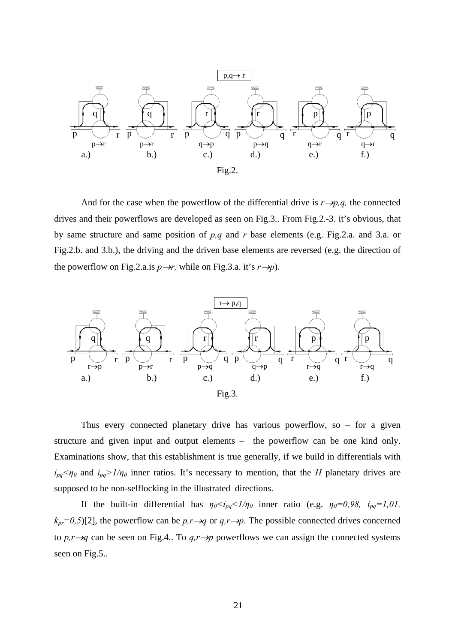

And for the case when the powerflow of the differential drive is  $r \rightarrow p, q$ , the connected drives and their powerflows are developed as seen on Fig.3.. From Fig.2.-3. it's obvious, that by same structure and same position of *p,q* and *r* base elements (e.g. Fig.2.a. and 3.a. or Fig.2.b. and 3.b.), the driving and the driven base elements are reversed (e.g. the direction of the powerflow on Fig.2.a.is  $p \rightarrow r$ , while on Fig.3.a. it's  $r \rightarrow p$ ).



Thus every connected planetary drive has various powerflow, so  $-$  for a given structure and given input and output elements – the powerflow can be one kind only. Examinations show, that this establishment is true generally, if we build in differentials with  $i_{pq} < \eta_0$  and  $i_{pq} > 1/\eta_0$  inner ratios. It's necessary to mention, that the *H* planetary drives are supposed to be non-selflocking in the illustrated directions.

If the built-in differential has  $\eta_0 < i_{pq} < 1/\eta_0$  inner ratio (e.g.  $\eta_0 = 0.98$ ,  $i_{pq} = 1.01$ ,  $k_{pr}=0.5$ [2], the powerflow can be  $p,r\rightarrow q$  or  $q,r\rightarrow p$ . The possible connected drives concerned to  $p, r \rightarrow q$  can be seen on Fig.4.. To  $q, r \rightarrow p$  powerflows we can assign the connected systems seen on Fig.5..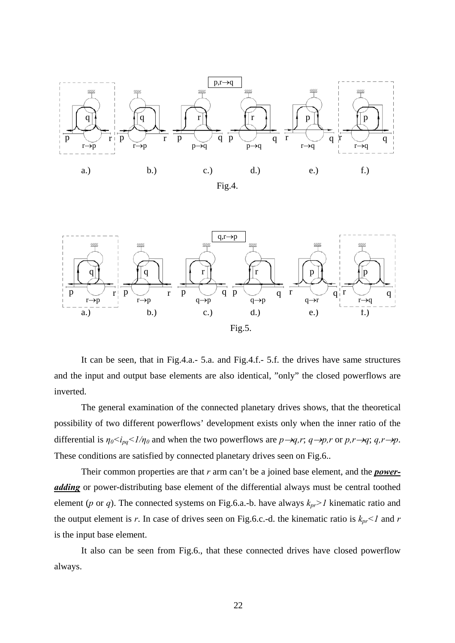



It can be seen, that in Fig.4.a.- 5.a. and Fig.4.f.- 5.f. the drives have same structures and the input and output base elements are also identical, "only" the closed powerflows are inverted.

 The general examination of the connected planetary drives shows, that the theoretical possibility of two different powerflows' development exists only when the inner ratio of the differential is  $\eta_0 \leq i_{pq} \leq 1/\eta_0$  and when the two powerflows are  $p \rightarrow q, r; q \rightarrow p, r$  or  $p, r \rightarrow q; q, r \rightarrow p$ . These conditions are satisfied by connected planetary drives seen on Fig.6..

Their common properties are that *r* arm can't be a joined base element, and the *poweradding* or power-distributing base element of the differential always must be central toothed element (*p* or *q*). The connected systems on Fig.6.a.-b. have always *kpr>1* kinematic ratio and the output element is *r*. In case of drives seen on Fig.6.c.-d. the kinematic ratio is  $k_{pr}$  < *I* and *r* is the input base element.

It also can be seen from Fig.6., that these connected drives have closed powerflow always.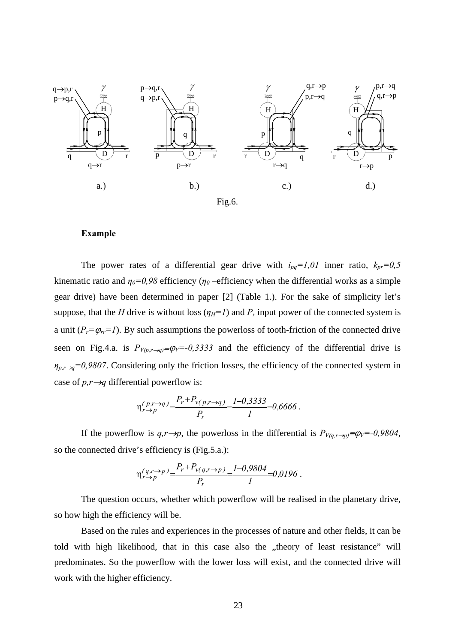

## **Example**

The power rates of a differential gear drive with  $i_{pq}=1,01$  inner ratio,  $k_{pr}=0,5$ kinematic ratio and  $\eta_0 = 0.98$  efficiency ( $\eta_0$  –efficiency when the differential works as a simple gear drive) have been determined in paper [2] (Table 1.). For the sake of simplicity let's suppose, that the *H* drive is without loss  $(\eta_H=I)$  and  $P_r$  input power of the connected system is a unit  $(P_r = \varphi_r = 1)$ . By such assumptions the powerloss of tooth-friction of the connected drive seen on Fig.4.a. is  $P_{V(p,r\rightarrow q)} \equiv \varphi_V = -0.3333$  and the efficiency of the differential drive is  $\eta_{p,r\rightarrow q}$ =0,9807. Considering only the friction losses, the efficiency of the connected system in case of *p,r*→*q* differential powerflow is:

$$
\eta_{r \to p}^{(p,r \to q)} = \frac{P_r + P_{\nu(p,r \to q)}}{P_r} = \frac{1 - 0.3333}{1} = 0.6666.
$$

If the powerflow is  $q, r \rightarrow p$ , the powerloss in the differential is  $P_{V(q,r\rightarrow p)} \equiv \varphi_V = -0.9804$ , so the connected drive's efficiency is (Fig.5.a.):

$$
\eta_{r \to p}^{(q,r \to p)} = \frac{P_r + P_{v(q,r \to p)}}{P_r} = \frac{I - 0.9804}{I} = 0.0196.
$$

 The question occurs, whether which powerflow will be realised in the planetary drive, so how high the efficiency will be.

 Based on the rules and experiences in the processes of nature and other fields, it can be told with high likelihood, that in this case also the "theory of least resistance" will predominates. So the powerflow with the lower loss will exist, and the connected drive will work with the higher efficiency.